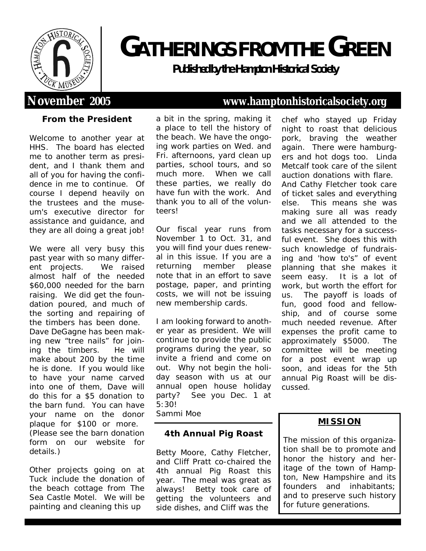

# **GATHERINGS FROM THEGREEN**

**Publishedbythe Hampton Historical Society**

**From the President**

Welcome to another year at HHS. The board has elected me to another term as president, and I thank them and all of you for having the confidence in me to continue. Of course I depend heavily on the trustees and the museum's executive director for assistance and guidance, and they are all doing a great job!

We were all very busy this past year with so many different projects. We raised almost half of the needed \$60,000 needed for the barn raising. We did get the foundation poured, and much of the sorting and repairing of the timbers has been done. Dave DeGagne has been making new "tree nails" for joining the timbers. He will make about 200 by the time he is done. If you would like to have your name carved into one of them, Dave will do this for a \$5 donation to the barn fund. You can have your name on the donor plaque for \$100 or more. (Please see the barn donation form on our website for details.)

Other projects going on at Tuck include the donation of the beach cottage from The Sea Castle Motel. We will be painting and cleaning this up

a bit in the spring, making it a place to tell the history of the beach. We have the ongoing work parties on Wed. and Fri. afternoons, yard clean up parties, school tours, and so much more. When we call these parties, we really do have fun with the work. And thank you to all of the volunteers!

Our fiscal year runs from November 1 to Oct. 31, and you will find your dues renewal in this issue. If you are a returning member please note that in an effort to save postage, paper, and printing costs, we will not be issuing new membership cards.

I am looking forward to another year as president. We will continue to provide the public programs during the year, so invite a friend and come on out. Why not begin the holiday season with us at our annual open house holiday party? See you Dec. 1 at 5:30!

Sammi Moe

**4th Annual Pig Roast**

Betty Moore, Cathy Fletcher, and Cliff Pratt co-chaired the 4th annual Pig Roast this year. The meal was great as always! Betty took care of getting the volunteers and side dishes, and Cliff was the

## **November 2005 www.hamptonhistoricalsociety.org**

chef who stayed up Friday night to roast that delicious pork, braving the weather again. There were hamburgers and hot dogs too. Linda Metcalf took care of the silent auction donations with flare. And Cathy Fletcher took care of ticket sales and everything else. This means she was making sure all was ready and we all attended to the tasks necessary for a successful event. She does this with such knowledge of fundraising and 'how to's" of event planning that she makes it seem easy. It is a lot of work, but worth the effort for us. The payoff is loads of fun, good food and fellowship, and of course some much needed revenue. After expenses the profit came to approximately \$5000. The committee will be meeting for a post event wrap up soon, and ideas for the 5th annual Pig Roast will be discussed.

### **MISSION**

The mission of this organization shall be to promote and honor the history and heritage of the town of Hampton, New Hampshire and its founders and inhabitants; and to preserve such history for future generations.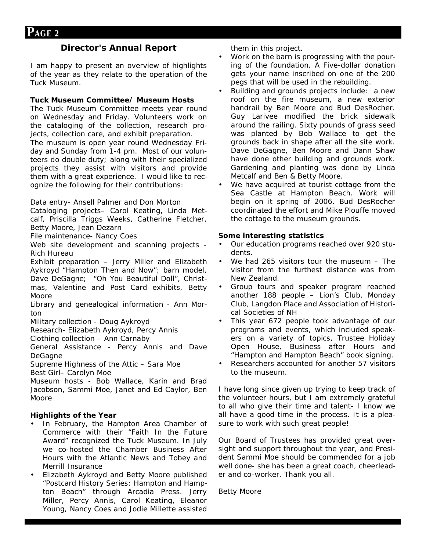#### **Director's Annual Report**

I am happy to present an overview of highlights of the year as they relate to the operation of the Tuck Museum.

**Tuck Museum Committee/ Museum Hosts** The Tuck Museum Committee meets year round on Wednesday and Friday. Volunteers work on the cataloging of the collection, research projects, collection care, and exhibit preparation. The museum is open year round Wednesday Friday and Sunday from 1-4 pm. Most of our volunteers do double duty; along with their specialized projects they assist with visitors and provide them with a great experience. I would like to recognize the following for their contributions:

*Data entry*- Ansell Palmer and Don Morton

*Cataloging projects*– Carol Keating, Linda Metcalf, Priscilla Triggs Weeks, Catherine Fletcher, Betty Moore, Jean Dezarn

*File maintenance*- Nancy Coes

*Web site development and scanning projects* - Rich Hureau

*Exhibit preparation* – Jerry Miller and Elizabeth Aykroyd "Hampton Then and Now"; barn model, Dave DeGagne; "Oh You Beautiful Doll", Christmas, Valentine and Post Card exhibits, Betty Moore

*Library and genealogical information* - Ann Morton

*Military collection* - Doug Aykroyd

*Research*- Elizabeth Aykroyd, Percy Annis

*Clothing collection* – Ann Carnaby

*General Assistance* - Percy Annis and Dave DeGagne

*Supreme Highness of the Attic* – Sara Moe

*Best Girl*– Carolyn Moe

*Museum hosts* - Bob Wallace, Karin and Brad Jacobson, Sammi Moe, Janet and Ed Caylor, Ben Moore

**Highlights of the Year**

- In February, the Hampton Area Chamber of Commerce with their "Faith In the Future Award" recognized the Tuck Museum. In July we co-hosted the Chamber Business After Hours with the Atlantic News and Tobey and Merrill Insurance
- Elizabeth Aykroyd and Betty Moore published "Postcard History Series: Hampton and Hampton Beach" through Arcadia Press. Jerry Miller, Percy Annis, Carol Keating, Eleanor Young, Nancy Coes and Jodie Millette assisted

them in this project.

- Work on the barn is progressing with the pouring of the foundation. A Five-dollar donation gets your name inscribed on one of the 200 pegs that will be used in the rebuilding.
- Building and grounds projects include: a new roof on the fire museum, a new exterior handrail by Ben Moore and Bud DesRocher. Guy Larivee modified the brick sidewalk around the railing. Sixty pounds of grass seed was planted by Bob Wallace to get the grounds back in shape after all the site work. Dave DeGagne, Ben Moore and Dann Shaw have done other building and grounds work. Gardening and planting was done by Linda Metcalf and Ben & Betty Moore.
- We have acquired at tourist cottage from the Sea Castle at Hampton Beach. Work will begin on it spring of 2006. Bud DesRocher coordinated the effort and Mike Plouffe moved the cottage to the museum grounds.

**Some interesting statistics**

- Our education programs reached over 920 students.
- We had 265 visitors tour the museum  $-$  The visitor from the furthest distance was from New Zealand.
- Group tours and speaker program reached another 188 people – Lion's Club, Monday Club, Langdon Place and Association of Historical Societies of NH
- This year 672 people took advantage of our programs and events, which included speakers on a variety of topics, Trustee Holiday Open House, Business after Hours and "Hampton and Hampton Beach" book signing.
- Researchers accounted for another 57 visitors to the museum.

I have long since given up trying to keep track of the volunteer hours, but I am extremely grateful to all who give their time and talent- I know we all have a good time in the process. It is a pleasure to work with such great people!

Our Board of Trustees has provided great oversight and support throughout the year, and President Sammi Moe should be commended for a job well done- she has been a great coach, cheerleader and co-worker. Thank you all.

Betty Moore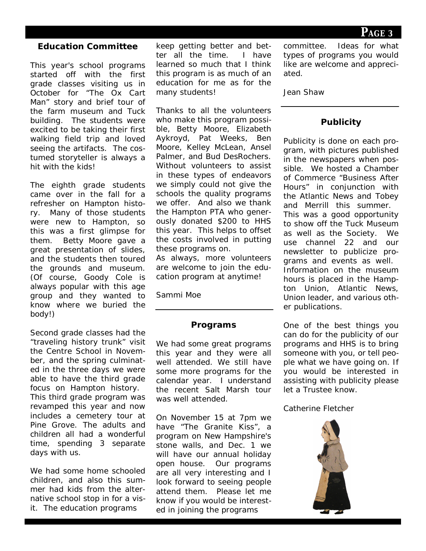**PAGE <sup>3</sup>**

#### **Education Committee**

This year's school programs started off with the first grade classes visiting us in October for "The Ox Cart Man" story and brief tour of the farm museum and Tuck building. The students were excited to be taking their first walking field trip and loved seeing the artifacts. The costumed storyteller is always a hit with the kids!

The eighth grade students came over in the fall for a refresher on Hampton history. Many of those students were new to Hampton, so this was a first glimpse for them. Betty Moore gave a great presentation of slides, and the students then toured the grounds and museum. (Of course, Goody Cole is always popular with this age group and they wanted to know where we buried the body!)

Second grade classes had the "traveling history trunk" visit the Centre School in November, and the spring culminated in the three days we were able to have the third grade focus on Hampton history. This third grade program was revamped this year and now includes a cemetery tour at Pine Grove. The adults and children all had a wonderful time, spending 3 separate days with us.

We had some home schooled children, and also this summer had kids from the alternative school stop in for a visit. The education programs

keep getting better and better all the time. I have learned so much that I think this program is as much of an education for me as for the many students!

Thanks to all the volunteers who make this program possible, Betty Moore, Elizabeth Aykroyd, Pat Weeks, Ben Moore, Kelley McLean, Ansel Palmer, and Bud DesRochers. Without volunteers to assist in these types of endeavors we simply could not give the schools the quality programs we offer. And also we thank the Hampton PTA who generously donated \$200 to HHS this year. This helps to offset the costs involved in putting these programs on.

As always, more volunteers are welcome to join the education program at anytime!

Sammi Moe

#### **Programs**

We had some great programs this year and they were all well attended. We still have some more programs for the calendar year. I understand the recent Salt Marsh tour was well attended.

On November 15 at 7pm we have "The Granite Kiss", a program on New Hampshire's stone walls, and Dec. 1 we will have our annual holiday open house. Our programs are all very interesting and I look forward to seeing people attend them. Please let me know if you would be interested in joining the programs

committee. Ideas for what types of programs you would like are welcome and appreciated.

Jean Shaw

#### **Publicity**

Publicity is done on each program, with pictures published in the newspapers when possible. We hosted a Chamber of Commerce "Business After Hours" in conjunction with the Atlantic News and Tobey and Merrill this summer. This was a good opportunity to show off the Tuck Museum as well as the Society. We use channel 22 and our newsletter to publicize programs and events as well. Information on the museum hours is placed in the Hampton Union, Atlantic News, Union leader, and various other publications.

One of the best things you can do for the publicity of our programs and HHS is to bring someone with you, or tell people what we have going on. If you would be interested in assisting with publicity please let a Trustee know.

#### Catherine Fletcher

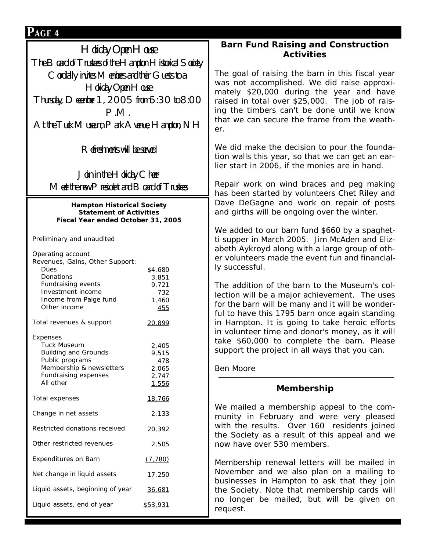| $P$ age 4                                                                                |                     |                                                                                                                                                                                                                                                                                                                                             |                                               |
|------------------------------------------------------------------------------------------|---------------------|---------------------------------------------------------------------------------------------------------------------------------------------------------------------------------------------------------------------------------------------------------------------------------------------------------------------------------------------|-----------------------------------------------|
| $H$ oliday Open $H$ ouse                                                                 |                     | Barn Fund Raising and Construction                                                                                                                                                                                                                                                                                                          |                                               |
| The $\mathsf B$ oard of Trustees of the $\mathsf H$ ampton $\mathsf H$ istorical Society |                     | Activities                                                                                                                                                                                                                                                                                                                                  |                                               |
| Cordially invites Members and their Guests to a                                          |                     | The goal of raising the barn in this fiscal year<br>was not accomplished. We did raise approxi-                                                                                                                                                                                                                                             |                                               |
| Holiday Open House                                                                       |                     |                                                                                                                                                                                                                                                                                                                                             |                                               |
| Thursday, December 1, 2005 from 5:30 to 8:00                                             |                     | mately \$20,000 during the year and have<br>raised in total over \$25,000. The job of rais-                                                                                                                                                                                                                                                 |                                               |
| P.M.                                                                                     |                     | ing the timbers can't be done until we know                                                                                                                                                                                                                                                                                                 |                                               |
| At the Tuck Museum, Park Avenue, Hampton, $NH$                                           |                     | that we can secure the frame from the weath-<br>er.                                                                                                                                                                                                                                                                                         |                                               |
|                                                                                          |                     |                                                                                                                                                                                                                                                                                                                                             |                                               |
| Refreshments will be served                                                              |                     | We did make the decision to pour the founda-<br>tion walls this year, so that we can get an ear-<br>lier start in 2006, if the monies are in hand.<br>Repair work on wind braces and peg making<br>has been started by volunteers Chet Riley and<br>Dave DeGagne and work on repair of posts<br>and girths will be ongoing over the winter. |                                               |
|                                                                                          |                     |                                                                                                                                                                                                                                                                                                                                             | Join in the $H$ oliday Cheer                  |
| Meet the new President and $\mathsf B$ oard of Trustees                                  |                     |                                                                                                                                                                                                                                                                                                                                             |                                               |
| Hampton Historical Society                                                               |                     |                                                                                                                                                                                                                                                                                                                                             |                                               |
| <b>Statement of Activities</b><br>Fiscal Year ended October 31, 2005                     |                     |                                                                                                                                                                                                                                                                                                                                             |                                               |
|                                                                                          |                     |                                                                                                                                                                                                                                                                                                                                             | We added to our barn fund \$660 by a spaghet- |
| Preliminary and unaudited                                                                |                     | ti supper in March 2005. Jim McAden and Eliz-                                                                                                                                                                                                                                                                                               |                                               |
| Operating account                                                                        |                     | abeth Aykroyd along with a large group of oth-<br>er volunteers made the event fun and financial-                                                                                                                                                                                                                                           |                                               |
| Revenues, Gains, Other Support:<br>Dues                                                  | \$4,680             | ly successful.                                                                                                                                                                                                                                                                                                                              |                                               |
| Donations<br>Fundraising events                                                          | 3,851<br>9,721      | The addition of the barn to the Museum's col-                                                                                                                                                                                                                                                                                               |                                               |
| Investment income                                                                        | 732                 | lection will be a major achievement. The uses                                                                                                                                                                                                                                                                                               |                                               |
| Income from Paige fund<br>Other income                                                   | 1,460<br><u>455</u> | for the barn will be many and it will be wonder-                                                                                                                                                                                                                                                                                            |                                               |
| Total revenues & support                                                                 | 20,899              | ful to have this 1795 barn once again standing<br>in Hampton. It is going to take heroic efforts                                                                                                                                                                                                                                            |                                               |
|                                                                                          |                     | in volunteer time and donor's money, as it will                                                                                                                                                                                                                                                                                             |                                               |
| Expenses<br><b>Tuck Museum</b>                                                           | 2,405               | take \$60,000 to complete the barn. Please                                                                                                                                                                                                                                                                                                  |                                               |
| <b>Building and Grounds</b>                                                              | 9,515               | support the project in all ways that you can.                                                                                                                                                                                                                                                                                               |                                               |
| Public programs<br>Membership & newsletters                                              | 478<br>2,065        | Ben Moore                                                                                                                                                                                                                                                                                                                                   |                                               |
| Fundraising expenses<br>All other                                                        | 2,747<br>1,556      |                                                                                                                                                                                                                                                                                                                                             |                                               |
|                                                                                          |                     | Membership                                                                                                                                                                                                                                                                                                                                  |                                               |
| Total expenses                                                                           | <u>18,766</u>       | We mailed a membership appeal to the com-                                                                                                                                                                                                                                                                                                   |                                               |
| Change in net assets                                                                     | 2,133               | munity in February and were very pleased                                                                                                                                                                                                                                                                                                    |                                               |
| Restricted donations received                                                            | 20,392              | with the results. Over 160 residents joined<br>the Society as a result of this appeal and we<br>now have over 530 members.                                                                                                                                                                                                                  |                                               |
| Other restricted revenues                                                                | 2,505               |                                                                                                                                                                                                                                                                                                                                             |                                               |
| Expenditures on Barn                                                                     | (7, 780)            | Membership renewal letters will be mailed in                                                                                                                                                                                                                                                                                                |                                               |
| Net change in liquid assets                                                              | 17,250              | November and we also plan on a mailing to<br>businesses in Hampton to ask that they join                                                                                                                                                                                                                                                    |                                               |
| Liquid assets, beginning of year<br>36,681                                               |                     | the Society. Note that membership cards will                                                                                                                                                                                                                                                                                                |                                               |
| Liquid assets, end of year                                                               | \$53,931            | no longer be mailed, but will be given on<br>request.                                                                                                                                                                                                                                                                                       |                                               |